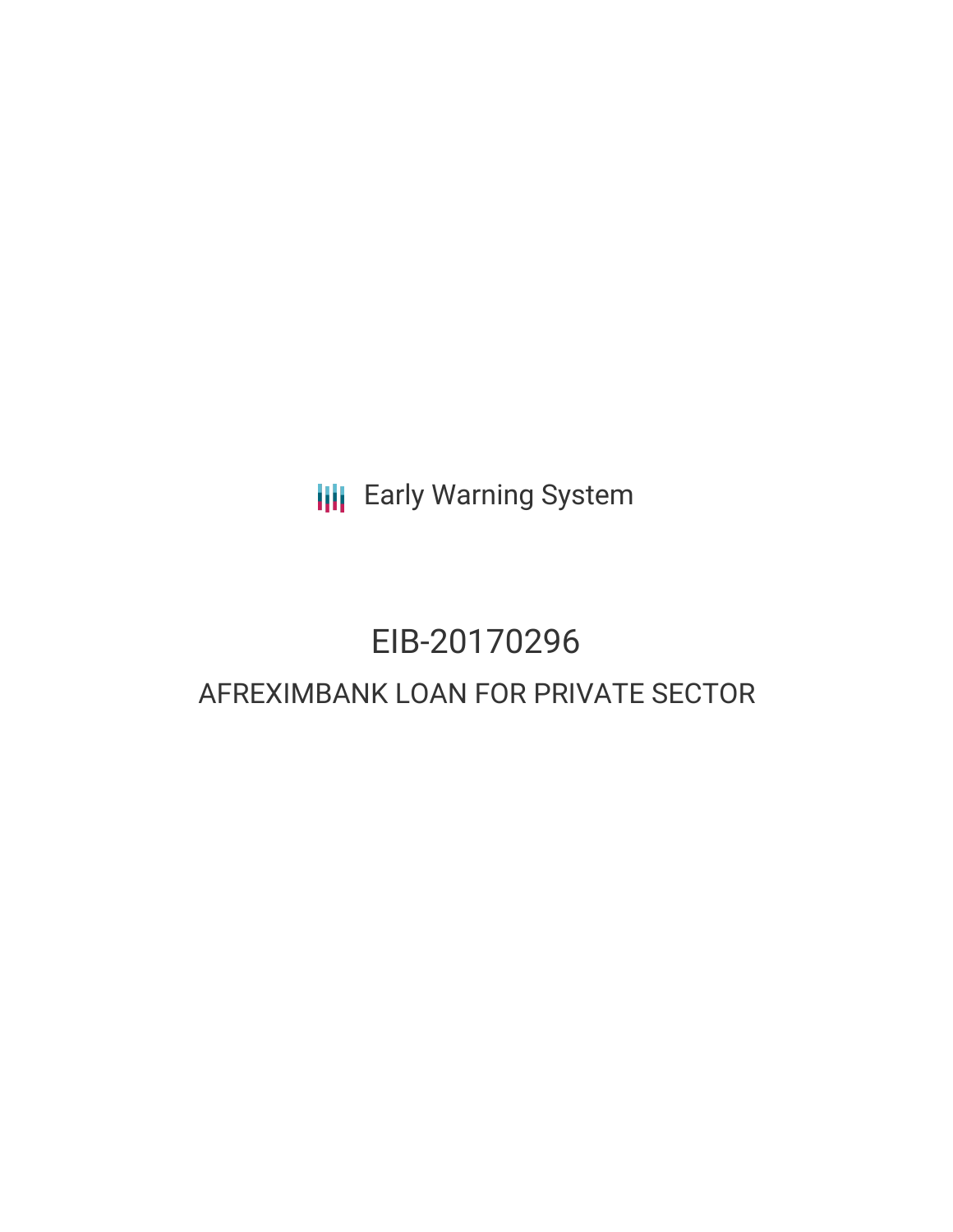**III** Early Warning System

# EIB-20170296 AFREXIMBANK LOAN FOR PRIVATE SECTOR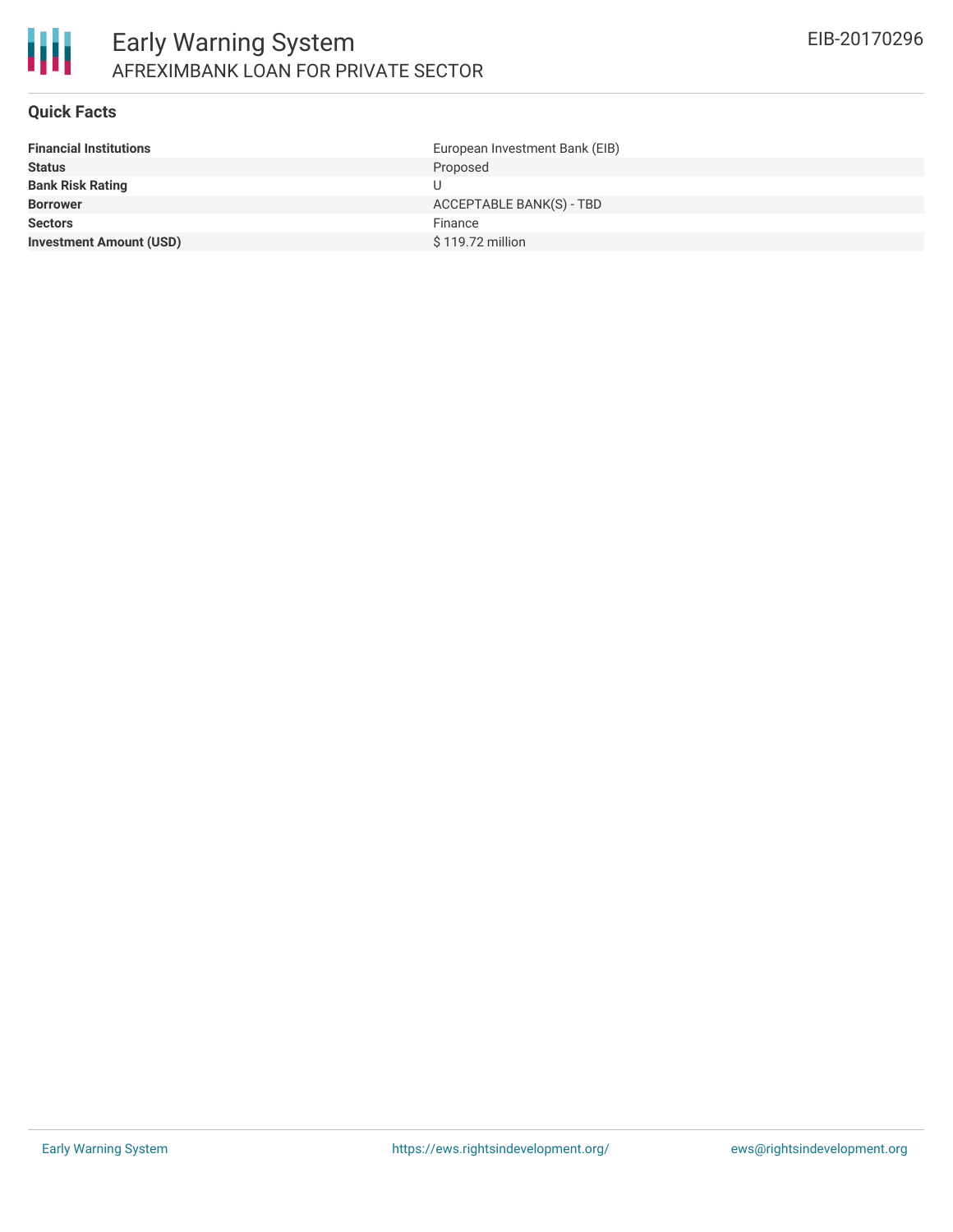

### **Quick Facts**

| <b>Financial Institutions</b>  | European Investment Bank (EIB) |
|--------------------------------|--------------------------------|
| <b>Status</b>                  | Proposed                       |
| <b>Bank Risk Rating</b>        |                                |
| <b>Borrower</b>                | ACCEPTABLE BANK(S) - TBD       |
| <b>Sectors</b>                 | Finance                        |
| <b>Investment Amount (USD)</b> | \$119.72 million               |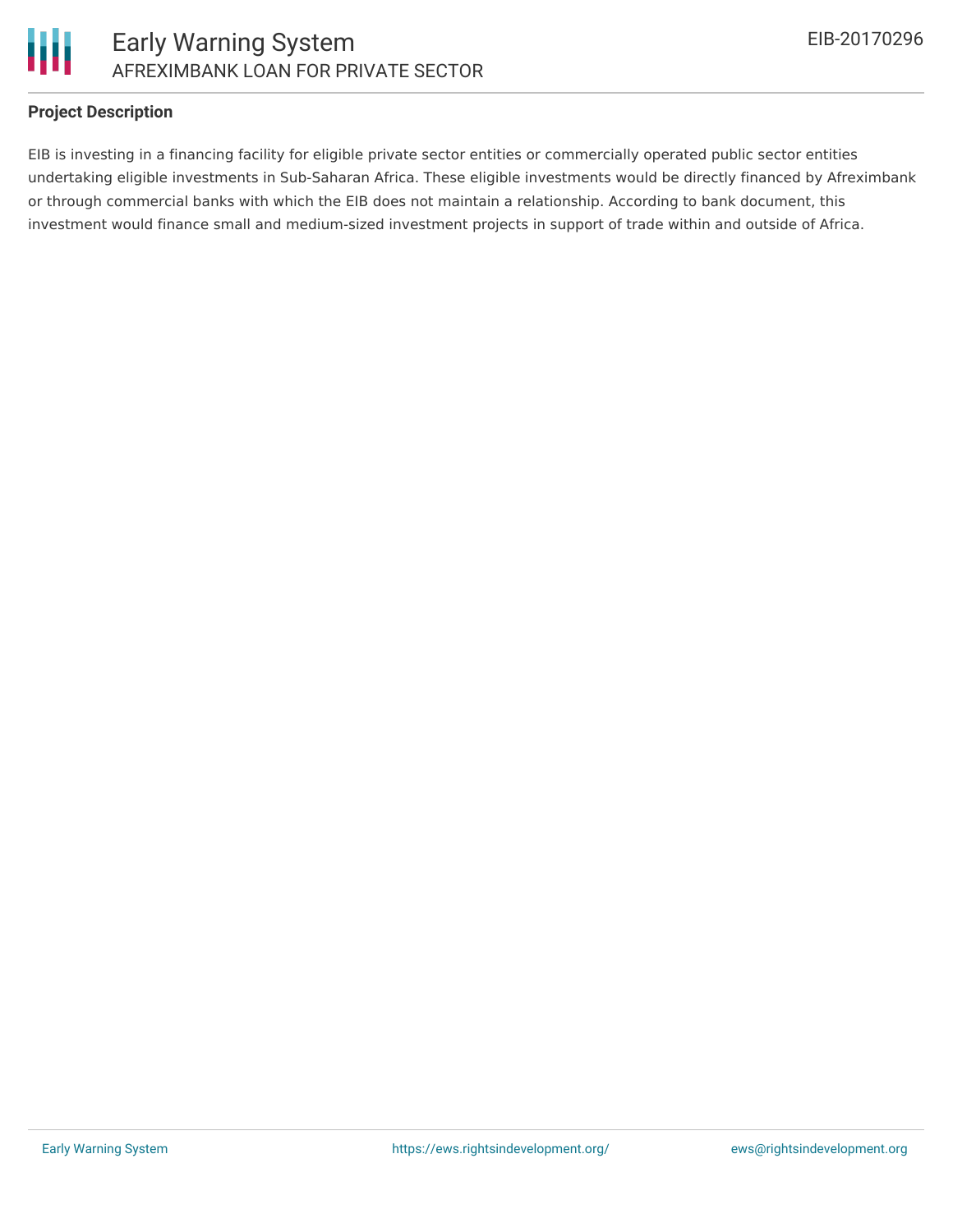

# **Project Description**

EIB is investing in a financing facility for eligible private sector entities or commercially operated public sector entities undertaking eligible investments in Sub-Saharan Africa. These eligible investments would be directly financed by Afreximbank or through commercial banks with which the EIB does not maintain a relationship. According to bank document, this investment would finance small and medium-sized investment projects in support of trade within and outside of Africa.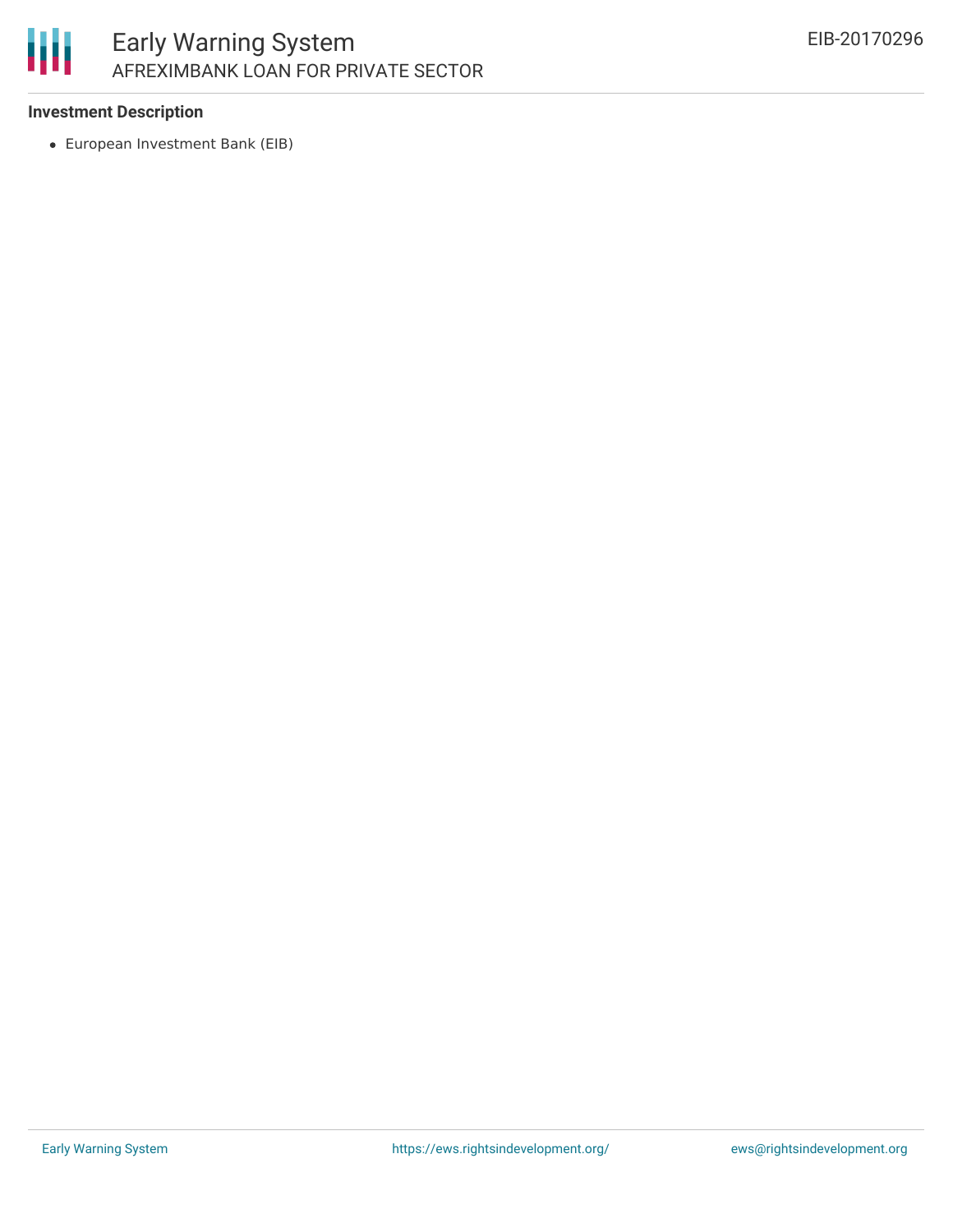

# **Investment Description**

European Investment Bank (EIB)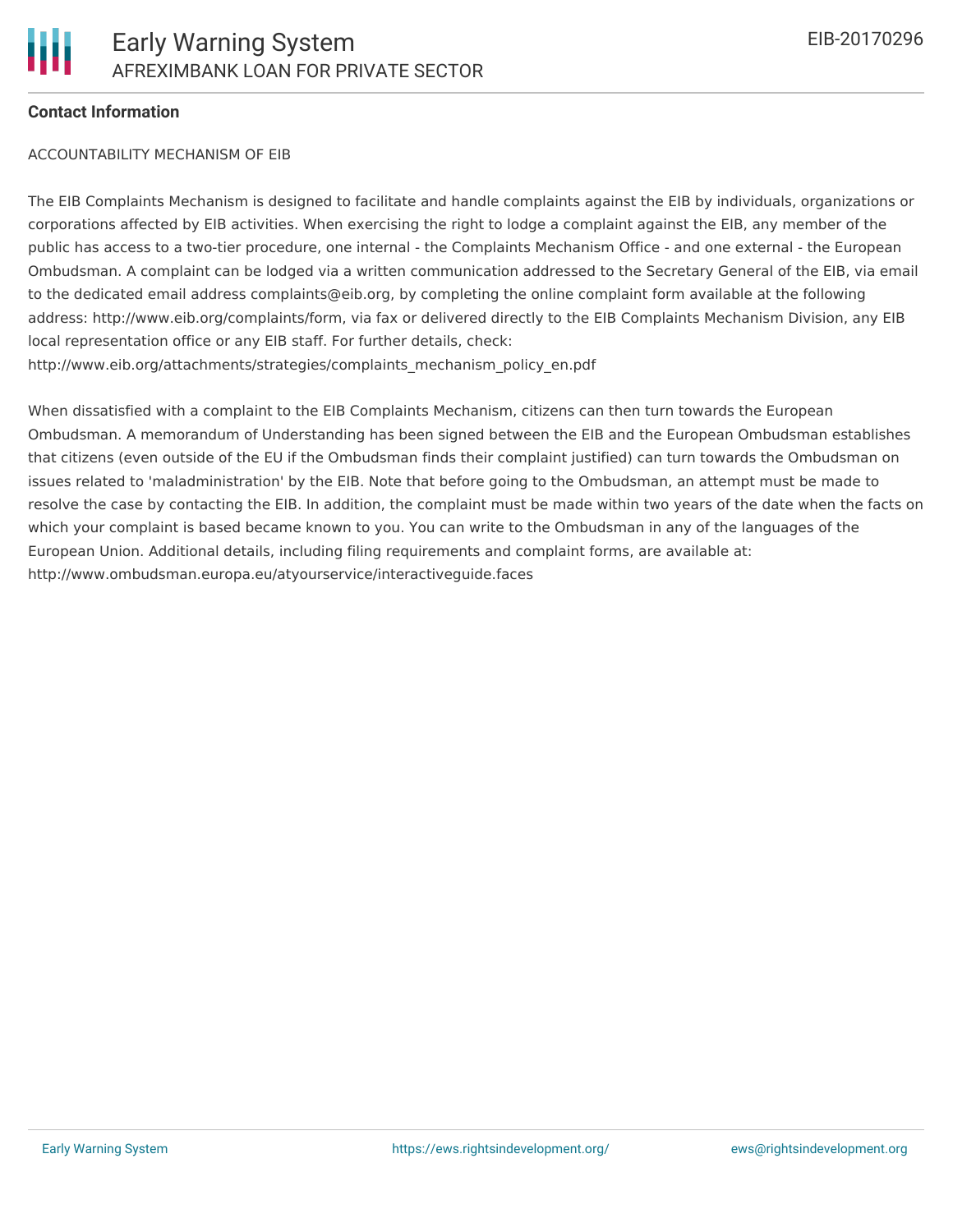# **Contact Information**

### ACCOUNTABILITY MECHANISM OF EIB

The EIB Complaints Mechanism is designed to facilitate and handle complaints against the EIB by individuals, organizations or corporations affected by EIB activities. When exercising the right to lodge a complaint against the EIB, any member of the public has access to a two-tier procedure, one internal - the Complaints Mechanism Office - and one external - the European Ombudsman. A complaint can be lodged via a written communication addressed to the Secretary General of the EIB, via email to the dedicated email address complaints@eib.org, by completing the online complaint form available at the following address: http://www.eib.org/complaints/form, via fax or delivered directly to the EIB Complaints Mechanism Division, any EIB local representation office or any EIB staff. For further details, check: http://www.eib.org/attachments/strategies/complaints\_mechanism\_policy\_en.pdf

When dissatisfied with a complaint to the EIB Complaints Mechanism, citizens can then turn towards the European Ombudsman. A memorandum of Understanding has been signed between the EIB and the European Ombudsman establishes that citizens (even outside of the EU if the Ombudsman finds their complaint justified) can turn towards the Ombudsman on issues related to 'maladministration' by the EIB. Note that before going to the Ombudsman, an attempt must be made to resolve the case by contacting the EIB. In addition, the complaint must be made within two years of the date when the facts on which your complaint is based became known to you. You can write to the Ombudsman in any of the languages of the European Union. Additional details, including filing requirements and complaint forms, are available at: http://www.ombudsman.europa.eu/atyourservice/interactiveguide.faces